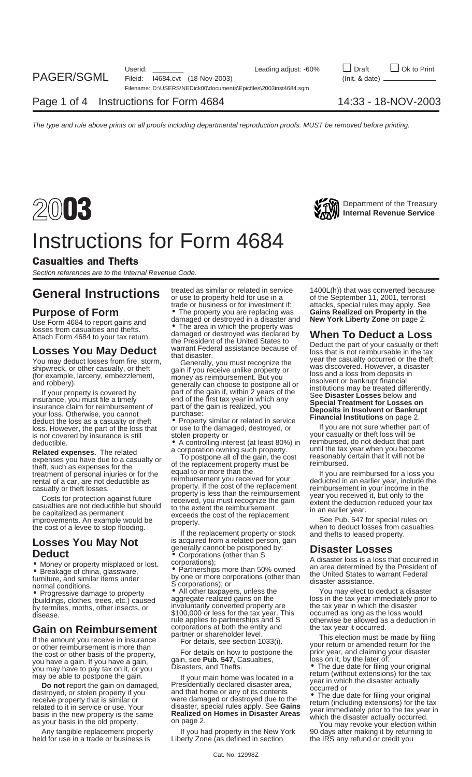# Instructions for Form 4684

## Casualties and Thefts

Section references are to the Internal Revenue Code.

or use to the damaged, destroyed, or If you are not sure whether part of is not covered by insurance is still stolen property or If you are not sure whether part of is not covered by insurance is still stolen property or is not covered by insurance is still stolen property or<br>deductible. example a controlling interest (at least 80%) in reimbursed, do not deduct that part

**Related expenses.** The related a corporation owning such property. The tax year when you become<br>expenses you have due to a casualty or the replacement property must be the reimbursed.<br>the the same of the replacement prope theft, such as expenses for the or the equal to or more than the If you are reimbursed for a loss you<br>treatment of personal injuries or for the equal to or more than the If you are reimbursed for a loss you<br>reimbursement y

by termites, moths, other insects, or involuntarily converted property are the tax year in which the disaster<br>disease disaster the tax year. This cocurred as long as the loss would

If the amount you receive in insurance<br>
or other reimbursement is more than<br>
the cost or other basis of the property,<br>
you have a gain. If you have a gain, gain, see Pub. 547, Casualties,<br>
you may have to pay tax on it, or

**General Instructions** treated as similar or related in service 1400L(h)) that was converted because of the September 11, 2001, terrorist or use to property held for use in a of the September 11, 2001, terrorist<br>trade or business or for investment if: attacks, special rules may apply. Se **Purpose of Form** • The property you are replacing was **Gains Realized on Property in the**<br> **Lise Form 4684 to report gains and** damaged or destroyed in a disaster and **New York Liberty Zone** on page 2. Use Form 4684 to report gains and damaged or destroyed in a disaster and **New York Liberty Zone** on page 2.<br>
losses from casualties and thefts. <br>
Attach Form 4684 to your tax return. damaged or destroyed was declared by **W** 

• A controlling interest (at least 80%) in reimbursed, do not deduct that part<br>a corporation owning such property. That is the tax year when you become

Figure 11 of a car, are not deductible as<br>
casualty or the fit losses.<br>
Costs for protection against future<br>
casualties are not deductible but should<br>
to the extent the reimbursement<br>
casualties are not deductible but shou

**Losses You May Not** is acquired from a related person, generally cannot be postponed by:

ormal conditions.<br>
• Progressive damage to property • All other taxpayers, unless the You may elect to deduct a disaster<br>
(buildings, clothes, trees, etc.) caused aggregate realized gains on the loss in the tax year immedi \$100,000 or less for the tax year. This rule applies to partnerships and S **Gain on Reimbursement** corporations at both the entity and the tax year it occurred.<br>If the amount you receive in insurance Federalia ass section 4022(i) This election must be made by filing

For the gain. The special property of the disaster area,<br> **So not** report the gain on damaged, and that home was located in a<br> **So not** report the gain on damaged, and that home or any of its contents<br>
destroyed, or stolen

held for use in a trade or business is Liberty Zone (as defined in section the IRS any refund or credit you

attacks, special rules may apply. See

Uses from 4684 to your tax return.<br>
Attach Form 4684 to your tax return.<br>
Losses You May Deduct<br>
You may deduct because form 4684 to your tax return.<br>
You may deduct losses from fire, storm, Generally, you must recognize t

men to deduct losses from casualties<br>If the replacement property or stock and thefts to leased property.<br>is acquired from a related person, gain

**Disaster Losses**<br>
• Money or property misplaced or lost.<br>
• Money or property misplaced or lost.<br>
• Breakage of china, glassware,<br>
• Partnerships more than 50% owned<br>
turniture, and similar items under<br>
turniture, and sim

aggregate realized gains on the secacy loss in the tax year immediately prior to involuntarily converted property are secacy the tax year in which the disaster otherwise be allowed as a deduction in

your basis in the old property.<br>Any tangible replacement property in the New York 90 days after making it by returning to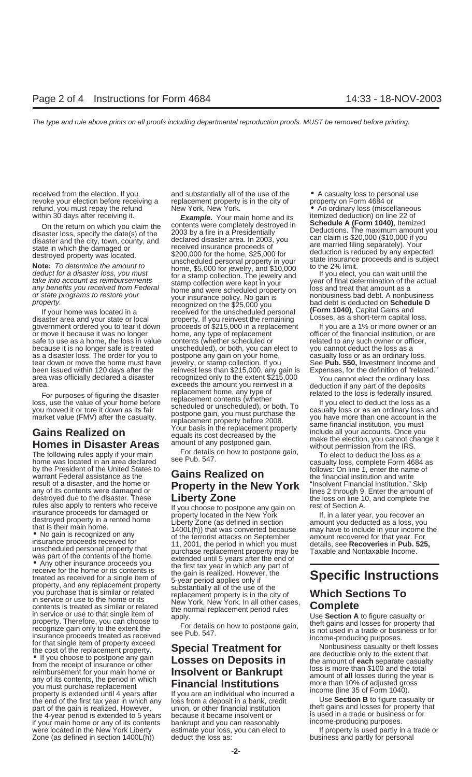received from the election. If you and substantially all of the use of the • A casualty loss to personal use revoke your election before receiving a replacement property is in the city of property on Form 4684 or refund, you must repay the refund  $\overline{N}$  New York, New York.<br>
We Your main home and its itemized deduction) on line 22 of

disaster area and your state or local property. If you reinvest the remaining Losses, as a short-term capital loss.<br>government ordered you to tear it down proceeds of \$215,000 in a replacement If you are a 1% or more owner or move it because it was no longer home, any type of replacement officer of the financial institution, or are<br>safe to use as a home, the loss in value contents (whether scheduled or elated to any such owner or officer, safe to use as a home, the loss in value contents (whether scheduled or related to any such owner or officer,<br>because it is no longer safe is treated unscheduled), or both, you can elect to you cannot deduct the loss as a because it is no longer safe is treated unscheduled), or both, you can elect to you cannot deduct the loss as a<br>as a disaster loss. The order for you to postpone any gain on your home, easualty loss or as an ordinary loss. tear down or move the home must have jewelry, or stamp collection. If you See **Pub. 550,** Investment Income and been issued within 120 days after the reinvest less than \$215,000, any gain is Expenses, for the definition of been issued within 120 days after the reinvest less than \$215,000, any gain is area was officially declared a disaster recognized only to the extent \$215,000

by the President of the United States to **Gains Realized on Follows:** On line 1, enter the name of warrant Federal assistance as the **Gains Realized on the financial institution and write**<br>result of a disaster, and the result of a disaster, and the home or<br>any of its contents were damaged or<br>destroyed due to the disaster. These<br>rules also apply to renters who receive<br>if you choose to postpone any gain on the loss on line 10, and complete

receive for the home or its contents is<br>the gain is realized. However, the<br>treated as received for a single item of the gain is realized. However, the Free the not and the scheen of the scheen of the standard the standard and the standard and the standard property, and any replacement property since the standard or elates the standard in service or use to the home or its

the end of the first tax year in which any loss from a deposit in a bank, credit<br>part of the gain is realized. However, union, or other financial institution theft gains and losses for property that<br>the 4-year period is ex the 4-year period is extended to 5 years because it became insolvent or income-producing purposes.<br>if your main home or any of its contents bankrupt and you can reasonably income-producing purposes.<br>were located in the New Zone (as defined in section  $1400L(h)$ ) deduct the loss as:

replacement property is in the city of

On the return on which you claim the<br>
disaster loss, specify the date(s) of the 2003 by a fire in a Presidentially<br>
disaster and the city, town, county, and declared disaster area. In 2003, you can claim is \$20,000 (\$10,00 State in which the damaged of the bone, \$200,000 for the home, \$25,000 for deduction is reduced by any expected<br>destroyed property was located. To determine the amount to unscheduled personal property in your state insuran deduct for a disaster loss, you must<br>take into account as reimbursements<br>any benefits you received from Federal<br>home and were scheduled property on loss and treat that amount as a or state programs to restore your<br>or state programs to restore your<br>property. Nonbusiness bad debt. A nonbusiness<br>property.<br>If your home was located in a received for the unscheduled personal (Form 1040), Capital Gains and If your home was located in a received for the unscheduled personal **(Form 1040)**, Capital Gains and list of the unscheduled personal **(Form 1040)**, Capital Gains and vour state or local overproceeds of \$215,000 in a replacement postpone any gain on your home, area was officially declared a disaster recognized only to the extent \$215,000<br>
For cannot elect the ordinary loss<br>
loss, use the value of your home before<br>
loss, use the value of your home before<br>
you moved it or to the d

rules also apply to renters who receive<br>
insurance proceeds for damaged or<br>
that is their main home.<br> **Example 1** are the beat of the beat of the state of the term of the term of the term of the term of the term of the ter

were located in the New York Liberty is used partly in a the New York Liberty is used partly in a trade or or business and partly for personal

**Example.** Your main home and its itemized deduction) on line 22 of **Example.** Your main home and its in **Schedule A (Form 1040)**, Itemized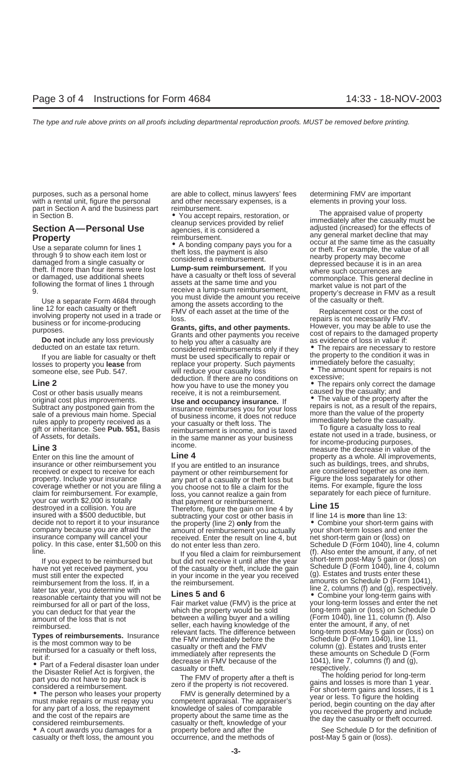with a rental unit, figure the personal and other necessary expenses, is a elements in proving your loss.

Cost or other basis usually means receive, it is not a reimbursement.<br>Coriginal cost plus improvements.<br>**Use and occupancy insurance**. original cost plus improvements.<br> **Use and occupancy insurance.** If The value of the property after the **Subtract any postponed gain from the** insurance reimburses you for your loss repairs is not, as a result of the repai

insurance or other reimbursement you If you are entitled to an insurance such as buildings, trees, and shrubs,<br>
received or expect to receive for each payment or other reimbursement for are considered together as one item. coverage whether or not you are filing a you choose not to file a claim for the items. For example, figure the loss<br>claim for reimbursement. For example, loss, you cannot realize a gain from separately for each piece of fu claim for reimbursement. For example, loss, you cannot realize a gain from separately for each piece of furniture.<br>your car worth \$2,000 is totally that payment or reimbursement.<br>destroyed in a collision. You are Therefore destroyed in a collision. You are **the subtracting your cost or other basis in** If line 14 is **more** than line 13:<br>insured with a \$500 deductible, but subtracting your cost or other basis in If line 14 is **more** than line decide not to report it to your insurance<br>company because you are afraid the amount of reimbursement you actually<br>insurance company will cancel your<br>policy. In this case, enter \$1,500 on this do not enter less than zero. S

must still enter the expected<br>
reimbursement from the loss. If, in a<br>
later tax year, you determine with<br>
reasonable certainty that you will not be<br>
reimbursed for all or part of the loss,<br>
Fair market value (FMV) is the p reimbursed for all or part of the loss,<br>you can deduct for that year the which the property would be sold<br>amount of the loss that is not between a willing buyer and a willing<br>amount of the loss that is not between a willin amount of the loss that is not between a willing buyer and a willing (Form 1040), line 11, column (f). Also reimbursed.<br>
seller, each having knowledge of the enter the amount, if any, of net

casualty or theft loss, the amount you

purposes, such as a personal home are able to collect, minus lawyers' fees determining FMV are important

or damaged, use additional sheets<br>
following the format of lines 1 through<br>
9.<br>
Use a separate Form 4684 through<br>
Use a separate Form 4684 through<br>
Use a separate Form 4684 through<br>
wou must divide the amount you receive<br>

deducted on an estate tax return.<br>
If you are liable for casualty or theft must be used specifically to repair or<br>
If you are liable for casualty or theft must be used specifically to repair or<br>
Interval or the property to someone else, see Pub. 547.<br>
Someone else, see Pub. 547.<br>
deduction. If there are no conditions on excessive; Line 2<br>
Line 2<br>
Cost or other basis usually means exceive, it is not a reimbursement. Cost or other basis usually means<br>
Cost or other basis usually means exceive, it is not a reimbursement. Caused by the casualty; and

Subtract any postponed gain from the insurance reimburses you for your loss<br>sale of a previous main home. Special of business income, it does not reduce<br>rules apply to property received as a your casualty or theft loss. Th

any part of a casualty or theft loss but Figure the loss separately for other<br>vou choose not to file a claim for the Figure the example, figure the loss

seller, each having knowledge of the enter the amount, if any, of net reference between the reimbursed.<br>The difference between long-term post-May 5 gain or (loss) on

onsidered reimbursements.<br>
• A court awards you damages for a property before and after the See Schedule D for the definition of casualty or the definition of casualty or the definition of casualty or the definition of cas

and the business part<br>
in Section A. The appraised value of property<br>
Section A. Personal Use<br>
Section A. Personal Use<br>
Section A. Personal Use<br>
agencies, it is considered a<br>
dipusted (increased) for the effects of<br>
agenci

**Line 3**<br>Enter on this line the amount of **Line 4 Line 4** property as a whole. All improvements,

policy. In this case, enter \$1,500 on this do not enter less than zero. Schedule D (Form 1040), line 4, column<br>If you expect to be reimbursed but<br>If you expect to be reimbursed but<br>have not yet received payment, you of the

These of reimbursements. Insurance the PMV imrediately before the Considered reimbursements of the FMV imrediately before the Column (g). Estates and trusts enter<br>
These of reimbursed for a casualty or theft loss, casualty